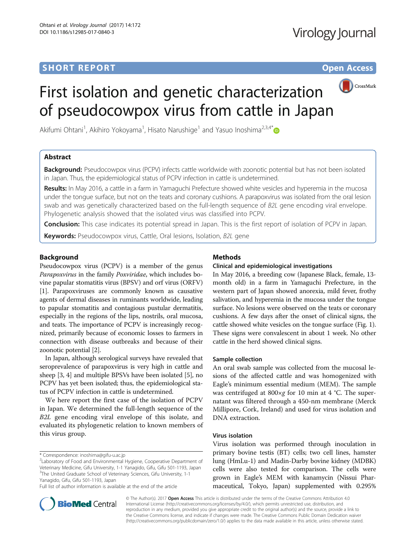## **SHORT REPORT SHORT Open Access**



# First isolation and genetic characterization of pseudocowpox virus from cattle in Japan

Akifumi Ohtani<sup>1</sup>, Akihiro Yokoyama<sup>1</sup>, Hisato Narushige<sup>1</sup> and Yasuo Inoshima<sup>2,3,4\*</sup>

## Abstract

Background: Pseudocowpox virus (PCPV) infects cattle worldwide with zoonotic potential but has not been isolated in Japan. Thus, the epidemiological status of PCPV infection in cattle is undetermined.

Results: In May 2016, a cattle in a farm in Yamaguchi Prefecture showed white vesicles and hyperemia in the mucosa under the tongue surface, but not on the teats and coronary cushions. A parapoxvirus was isolated from the oral lesion swab and was genetically characterized based on the full-length sequence of B2L gene encoding viral envelope. Phylogenetic analysis showed that the isolated virus was classified into PCPV.

Conclusion: This case indicates its potential spread in Japan. This is the first report of isolation of PCPV in Japan.

Keywords: Pseudocowpox virus, Cattle, Oral lesions, Isolation, B2L gene

## Background

Pseudocowpox virus (PCPV) is a member of the genus Parapoxvirus in the family Poxviridae, which includes bovine papular stomatitis virus (BPSV) and orf virus (ORFV) [[1\]](#page-4-0). Parapoxviruses are commonly known as causative agents of dermal diseases in ruminants worldwide, leading to papular stomatitis and contagious pustular dermatitis, especially in the regions of the lips, nostrils, oral mucosa, and teats. The importance of PCPV is increasingly recognized, primarily because of economic losses to farmers in connection with disease outbreaks and because of their zoonotic potential [[2\]](#page-4-0).

In Japan, although serological surveys have revealed that seroprevalence of parapoxvirus is very high in cattle and sheep [\[3](#page-4-0), [4\]](#page-4-0) and multiple BPSVs have been isolated [\[5](#page-4-0)], no PCPV has yet been isolated; thus, the epidemiological status of PCPV infection in cattle is undetermined.

We here report the first case of the isolation of PCPV in Japan. We determined the full-length sequence of the B2L gene encoding viral envelope of this isolate, and evaluated its phylogenetic relation to known members of this virus group.

Full list of author information is available at the end of the article



## Clinical and epidemiological investigations

In May 2016, a breeding cow (Japanese Black, female, 13 month old) in a farm in Yamaguchi Prefecture, in the western part of Japan showed anorexia, mild fever, frothy salivation, and hyperemia in the mucosa under the tongue surface. No lesions were observed on the teats or coronary cushions. A few days after the onset of clinical signs, the cattle showed white vesicles on the tongue surface (Fig. [1](#page-1-0)). These signs were convalescent in about 1 week. No other cattle in the herd showed clinical signs.

#### Sample collection

An oral swab sample was collected from the mucosal lesions of the affected cattle and was homogenized with Eagle's minimum essential medium (MEM). The sample was centrifuged at 800×g for 10 min at 4 °C. The supernatant was filtered through a 450-nm membrane (Merck Millipore, Cork, Ireland) and used for virus isolation and DNA extraction.

#### Virus isolation

Virus isolation was performed through inoculation in primary bovine testis (BT) cells; two cell lines, hamster lung (HmLu-1) and Madin-Darby bovine kidney (MDBK) cells were also tested for comparison. The cells were grown in Eagle's MEM with kanamycin (Nissui Pharmaceutical, Tokyo, Japan) supplemented with 0.295%



© The Author(s). 2017 Open Access This article is distributed under the terms of the Creative Commons Attribution 4.0 International License [\(http://creativecommons.org/licenses/by/4.0/](http://creativecommons.org/licenses/by/4.0/)), which permits unrestricted use, distribution, and reproduction in any medium, provided you give appropriate credit to the original author(s) and the source, provide a link to the Creative Commons license, and indicate if changes were made. The Creative Commons Public Domain Dedication waiver [\(http://creativecommons.org/publicdomain/zero/1.0/](http://creativecommons.org/publicdomain/zero/1.0/)) applies to the data made available in this article, unless otherwise stated.

<sup>\*</sup> Correspondence: [inoshima@gifu-u.ac.jp](mailto:inoshima@gifu-u.ac.jp) <sup>2</sup>

<sup>&</sup>lt;sup>2</sup> Laboratory of Food and Environmental Hygiene, Cooperative Department of Veterinary Medicine, Gifu University, 1-1 Yanagido, Gifu, Gifu 501-1193, Japan <sup>3</sup>The United Graduate School of Veterinary Sciences, Gifu University, 1-1 Yanagido, Gifu, Gifu 501-1193, Japan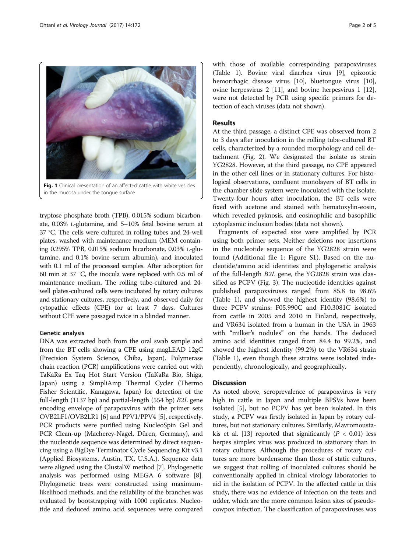<span id="page-1-0"></span>

tryptose phosphate broth (TPB), 0.015% sodium bicarbonate, 0.03% L-glutamine, and 5–10% fetal bovine serum at 37 °C. The cells were cultured in rolling tubes and 24-well plates, washed with maintenance medium (MEM containing 0.295% TPB, 0.015% sodium bicarbonate, 0.03% L-glutamine, and 0.1% bovine serum albumin), and inoculated with 0.1 ml of the processed samples. After adsorption for 60 min at 37 °C, the inocula were replaced with 0.5 ml of maintenance medium. The rolling tube-cultured and 24 well plates-cultured cells were incubated by rotary cultures and stationary cultures, respectively, and observed daily for cytopathic effects (CPE) for at least 7 days. Cultures without CPE were passaged twice in a blinded manner.

## Genetic analysis

DNA was extracted both from the oral swab sample and from the BT cells showing a CPE using magLEAD 12gC (Precision System Science, Chiba, Japan). Polymerase chain reaction (PCR) amplifications were carried out with TaKaRa Ex Taq Hot Start Version (TaKaRa Bio, Shiga, Japan) using a SimpliAmp Thermal Cycler (Thermo Fisher Scientific, Kanagawa, Japan) for detection of the full-length (1137 bp) and partial-length (554 bp) B2L gene encoding envelope of parapoxvirus with the primer sets OVB2LF1/OVB2LR1 [\[6\]](#page-4-0) and PPV1/PPV4 [\[5](#page-4-0)], respectively. PCR products were purified using NucleoSpin Gel and PCR Clean-up (Macherey-Nagel, Düren, Germany), and the nucleotide sequence was determined by direct sequencing using a BigDye Terminator Cycle Sequencing Kit v3.1 (Applied Biosystems, Austin, TX, U.S.A.). Sequence data were aligned using the ClustalW method [[7\]](#page-4-0). Phylogenetic analysis was performed using MEGA 6 software [[8](#page-4-0)]. Phylogenetic trees were constructed using maximumlikelihood methods, and the reliability of the branches was evaluated by bootstrapping with 1000 replicates. Nucleotide and deduced amino acid sequences were compared with those of available corresponding parapoxviruses (Table [1](#page-2-0)). Bovine viral diarrhea virus [[9\]](#page-4-0), epizootic hemorrhagic disease virus [[10\]](#page-4-0), bluetongue virus [[10](#page-4-0)], ovine herpesvirus 2 [[11](#page-4-0)], and bovine herpesvirus 1 [[12](#page-4-0)], were not detected by PCR using specific primers for detection of each viruses (data not shown).

## Results

At the third passage, a distinct CPE was observed from 2 to 3 days after inoculation in the rolling tube-cultured BT cells, characterized by a rounded morphology and cell detachment (Fig. [2](#page-2-0)). We designated the isolate as strain YG2828. However, at the third passage, no CPE appeared in the other cell lines or in stationary cultures. For histological observations, confluent monolayers of BT cells in the chamber slide system were inoculated with the isolate. Twenty-four hours after inoculation, the BT cells were fixed with acetone and stained with hematoxylin-eosin, which revealed pyknosis, and eosinophilic and basophilic cytoplasmic inclusion bodies (data not shown).

Fragments of expected size were amplified by PCR using both primer sets. Neither deletions nor insertions in the nucleotide sequence of the YG2828 strain were found (Additional file [1](#page-3-0): Figure S1). Based on the nucleotide/amino acid identities and phylogenetic analysis of the full-length B2L gene, the YG2828 strain was classified as PCPV (Fig. [3](#page-3-0)). The nucleotide identities against published parapoxviruses ranged from 85.8 to 98.6% (Table [1](#page-2-0)), and showed the highest identity (98.6%) to three PCPV strains: F05.990C and F10.3081C isolated from cattle in 2005 and 2010 in Finland, respectively, and VR634 isolated from a human in the USA in 1963 with "milker's nodules" on the hands. The deduced amino acid identities ranged from 84.4 to 99.2%, and showed the highest identity (99.2%) to the VR634 strain (Table [1\)](#page-2-0), even though these strains were isolated independently, chronologically, and geographically.

## **Discussion**

As noted above, seroprevalence of parapoxvirus is very high in cattle in Japan and multiple BPSVs have been isolated [[5](#page-4-0)], but no PCPV has yet been isolated. In this study, a PCPV was firstly isolated in Japan by rotary cultures, but not stationary cultures. Similarly, Mavromousta-kis et al. [[13](#page-4-0)] reported that significantly ( $P < 0.01$ ) less herpes simplex virus was produced in stationary than in rotary cultures. Although the procedures of rotary cultures are more burdensome than those of static cultures, we suggest that rolling of inoculated cultures should be conventionally applied in clinical virology laboratories to aid in the isolation of PCPV. In the affected cattle in this study, there was no evidence of infection on the teats and udder, which are the more common lesion sites of pseudocowpox infection. The classification of parapoxviruses was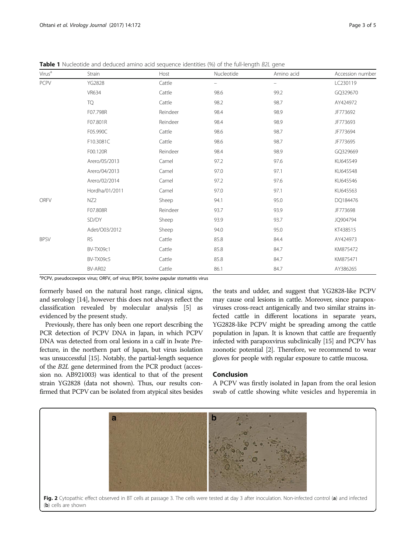<span id="page-2-0"></span>**Table 1** Nucleotide and deduced amino acid sequence identities (%) of the full-length B2L gene

| Virus <sup>a</sup> | Strain          | Host     | Nucleotide               | Amino acid        | Accession number |
|--------------------|-----------------|----------|--------------------------|-------------------|------------------|
| <b>PCPV</b>        | <b>YG2828</b>   | Cattle   | $\overline{\phantom{0}}$ | $\qquad \qquad -$ | LC230119         |
|                    | <b>VR634</b>    | Cattle   | 98.6                     | 99.2              | GQ329670         |
|                    | TQ              | Cattle   | 98.2                     | 98.7              | AY424972         |
|                    | F07.798R        | Reindeer | 98.4                     | 98.9              | JF773692         |
|                    | F07.801R        | Reindeer | 98.4                     | 98.9              | JF773693         |
|                    | F05.990C        | Cattle   | 98.6                     | 98.7              | JF773694         |
|                    | F10.3081C       | Cattle   | 98.6                     | 98.7              | JF773695         |
|                    | F00.120R        | Reindeer | 98.4                     | 98.9              | GQ329669         |
|                    | Arero/05/2013   | Camel    | 97.2                     | 97.6              | KU645549         |
|                    | Arero/04/2013   | Camel    | 97.0                     | 97.1              | KU645548         |
|                    | Arero/02/2014   | Camel    | 97.2                     | 97.6              | KU645546         |
|                    | Hordha/01/2011  | Camel    | 97.0                     | 97.1              | KU645563         |
| <b>ORFV</b>        | NZ <sub>2</sub> | Sheep    | 94.1                     | 95.0              | DQ184476         |
|                    | F07.808R        | Reindeer | 93.7                     | 93.9              | JF773698         |
|                    | SD/DY           | Sheep    | 93.9                     | 93.7              | JQ904794         |
|                    | Adet/O03/2012   | Sheep    | 94.0                     | 95.0              | KT438515         |
| <b>BPSV</b>        | <b>RS</b>       | Cattle   | 85.8                     | 84.4              | AY424973         |
|                    | BV-TX09c1       | Cattle   | 85.8                     | 84.7              | KM875472         |
|                    | BV-TX09c5       | Cattle   | 85.8                     | 84.7              | KM875471         |
|                    | BV-AR02         | Cattle   | 86.1                     | 84.7              | AY386265         |

<sup>a</sup>PCPV, pseudocowpox virus; ORFV, orf virus; BPSV, bovine papular stomatitis virus

formerly based on the natural host range, clinical signs, and serology [\[14\]](#page-4-0), however this does not always reflect the classification revealed by molecular analysis [[5\]](#page-4-0) as evidenced by the present study.

Previously, there has only been one report describing the PCR detection of PCPV DNA in Japan, in which PCPV DNA was detected from oral lesions in a calf in Iwate Prefecture, in the northern part of Japan, but virus isolation was unsuccessful [[15](#page-4-0)]. Notably, the partial-length sequence of the B2L gene determined from the PCR product (accession no. AB921003) was identical to that of the present strain YG2828 (data not shown). Thus, our results confirmed that PCPV can be isolated from atypical sites besides

the teats and udder, and suggest that YG2828-like PCPV may cause oral lesions in cattle. Moreover, since parapoxviruses cross-react antigenically and two similar strains infected cattle in different locations in separate years, YG2828-like PCPV might be spreading among the cattle population in Japan. It is known that cattle are frequently infected with parapoxvirus subclinically [[15](#page-4-0)] and PCPV has zoonotic potential [[2](#page-4-0)]. Therefore, we recommend to wear gloves for people with regular exposure to cattle mucosa.

## Conclusion

A PCPV was firstly isolated in Japan from the oral lesion swab of cattle showing white vesicles and hyperemia in

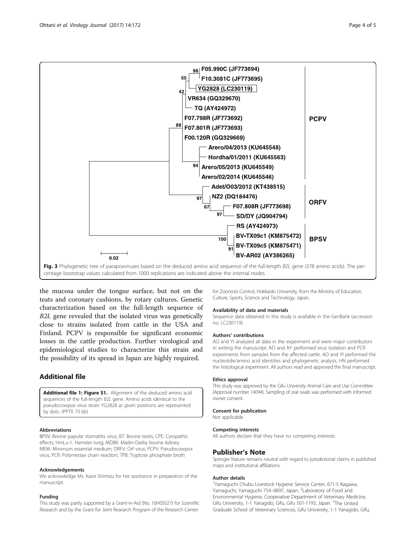<span id="page-3-0"></span>

the mucosa under the tongue surface, but not on the teats and coronary cushions, by rotary cultures. Genetic characterization based on the full-length sequence of B2L gene revealed that the isolated virus was genetically close to strains isolated from cattle in the USA and Finland. PCPV is responsible for significant economic losses in the cattle production. Further virological and epidemiological studies to characterize this strain and the possibility of its spread in Japan are highly required.

## Additional file

[Additional file 1: Figure S1.](dx.doi.org/10.1186/s12985-017-0840-3) Alignment of the deduced amino acid sequences of the full-length B2L gene. Amino acids identical to the pseudocowpox virus strain YG2828 at given positions are represented by dots. (PPTX 73 kb)

#### Abbreviations

BPSV: Bovine papular stomatitis virus; BT: Bovine testis; CPE: Cytopathic effects; HmLu-1: Hamster lung; MDBK: Madin-Darby bovine kidney; MEM: Minimum essential medium; ORFV: Orf virus; PCPV: Pseudocowpox virus; PCR: Polymerase chain reaction; TPB: Tryptose phosphate broth

#### Acknowledgements

We acknowledge Ms. Kaori Shimizu for her assistance in preparation of the manuscript.

#### Funding

This study was partly supported by a Grant-in-Aid (No. 16H05027) for Scientific Research and by the Grant for Joint Research Program of the Research Center

for Zoonosis Control, Hokkaido University, from the Ministry of Education, Culture, Sports, Science and Technology, Japan.

#### Availability of data and materials

Sequence data obtained in this study is available in the GenBank (accession no. LC230119).

#### Authors' contributions

AO and YI analyzed all data in the experiment and were major contributors in writing the manuscript. AO and AY performed virus isolation and PCR experiments from samples from the affected cattle. AO and YI performed the nucleotide/amino acid identities and phylogenetic analysis. HN performed the histological experiment. All authors read and approved the final manuscript.

#### Ethics approval

This study was approved by the Gifu University Animal Care and Use Committee (Approval number 14094). Sampling of oral swab was performed with informed owner consent.

### Consent for publication

Not applicable

#### Competing interests

All authors declare that they have no competing interests.

#### Publisher's Note

Springer Nature remains neutral with regard to jurisdictional claims in published maps and institutional affiliations.

#### Author details

<sup>1</sup>Yamaguchi Chubu Livestock Hygiene Service Center, 671-5 Kagawa, Yamaguchi, Yamaguchi 754-0897, Japan. <sup>2</sup> Laboratory of Food and Environmental Hygiene, Cooperative Department of Veterinary Medicine, Gifu University, 1-1 Yanagido, Gifu, Gifu 501-1193, Japan. <sup>3</sup>The United Graduate School of Veterinary Sciences, Gifu University, 1-1 Yanagido, Gifu,